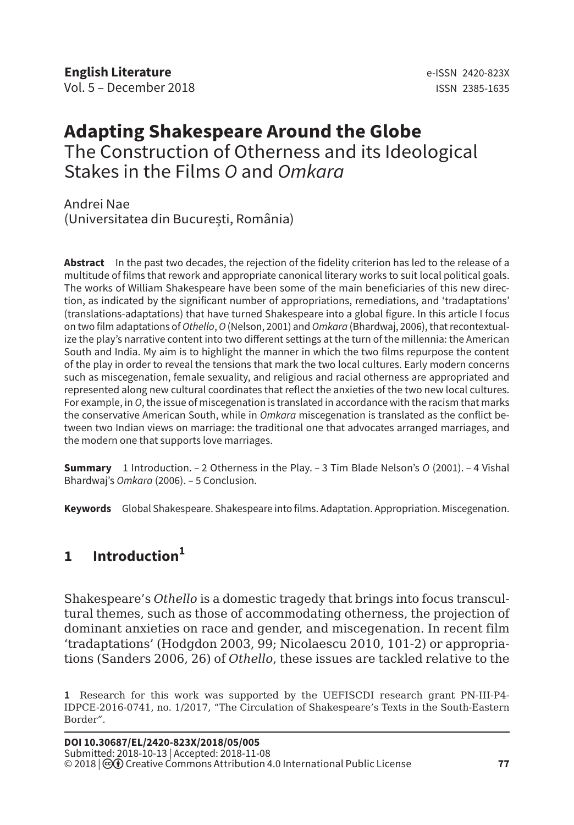# **Adapting Shakespeare Around the Globe** The Construction of Otherness and its Ideological Stakes in the Films *O* and *Omkara*

Andrei Nae (Universitatea din București, România)

**Abstract** In the past two decades, the rejection of the fidelity criterion has led to the release of a multitude of films that rework and appropriate canonical literary works to suit local political goals. The works of William Shakespeare have been some of the main beneficiaries of this new direction, as indicated by the significant number of appropriations, remediations, and 'tradaptations' (translations-adaptations) that have turned Shakespeare into a global figure. In this article I focus on two film adaptations of *Othello*, *O* (Nelson, 2001) and *Omkara* (Bhardwaj, 2006), that recontextualize the play's narrative content into two different settings at the turn of the millennia: the American South and India. My aim is to highlight the manner in which the two films repurpose the content of the play in order to reveal the tensions that mark the two local cultures. Early modern concerns such as miscegenation, female sexuality, and religious and racial otherness are appropriated and represented along new cultural coordinates that reflect the anxieties of the two new local cultures. For example, in *O*, the issue of miscegenation is translated in accordance with the racism that marks the conservative American South, while in *Omkara* miscegenation is translated as the conflict between two Indian views on marriage: the traditional one that advocates arranged marriages, and the modern one that supports love marriages.

**Summary** 1 Introduction. – 2 Otherness in the Play. – 3 Tim Blade Nelson's *O* (2001). – 4 Vishal Bhardwaj's *Omkara* (2006). – 5 Conclusion.

**Keywords** Global Shakespeare. Shakespeare into films. Adaptation. Appropriation. Miscegenation.

## **1 Introduction<sup>1</sup>**

Shakespeare's *Othello* is a domestic tragedy that brings into focus transcultural themes, such as those of accommodating otherness, the projection of dominant anxieties on race and gender, and miscegenation. In recent film 'tradaptations' (Hodgdon 2003, 99; Nicolaescu 2010, 101-2) or appropriations (Sanders 2006, 26) of *Othello*, these issues are tackled relative to the

**<sup>1</sup>** Research for this work was supported by the UEFISCDI research grant PN-III-P4- IDPCE-2016-0741, no. 1/2017, "The Circulation of Shakespeare's Texts in the South-Eastern Border".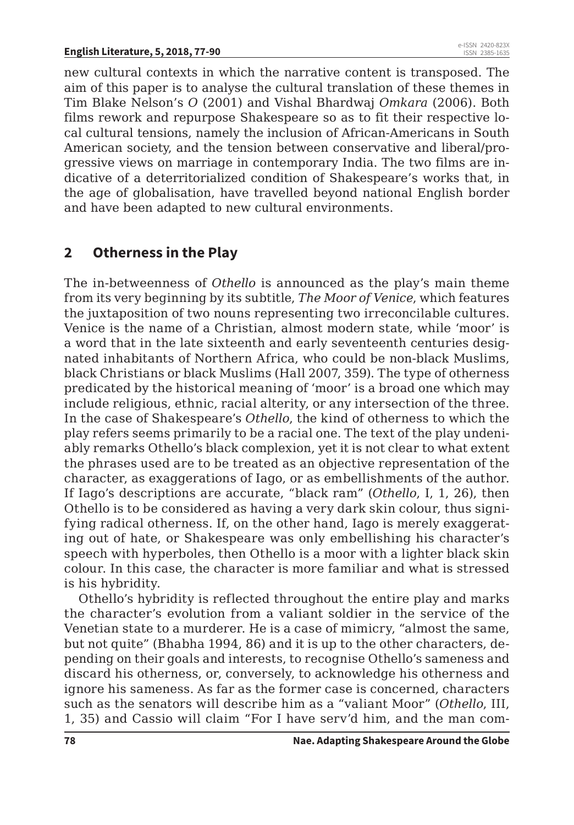new cultural contexts in which the narrative content is transposed. The aim of this paper is to analyse the cultural translation of these themes in Tim Blake Nelson's *O* (2001) and Vishal Bhardwaj *Omkara* (2006). Both films rework and repurpose Shakespeare so as to fit their respective local cultural tensions, namely the inclusion of African-Americans in South American society, and the tension between conservative and liberal/progressive views on marriage in contemporary India. The two films are indicative of a deterritorialized condition of Shakespeare's works that, in the age of globalisation, have travelled beyond national English border and have been adapted to new cultural environments.

### **2 Otherness in the Play**

The in-betweenness of *Othello* is announced as the play's main theme from its very beginning by its subtitle, *The Moor of Venice*, which features the juxtaposition of two nouns representing two irreconcilable cultures. Venice is the name of a Christian, almost modern state, while 'moor' is a word that in the late sixteenth and early seventeenth centuries designated inhabitants of Northern Africa, who could be non-black Muslims, black Christians or black Muslims (Hall 2007, 359). The type of otherness predicated by the historical meaning of 'moor' is a broad one which may include religious, ethnic, racial alterity, or any intersection of the three. In the case of Shakespeare's *Othello*, the kind of otherness to which the play refers seems primarily to be a racial one. The text of the play undeniably remarks Othello's black complexion, yet it is not clear to what extent the phrases used are to be treated as an objective representation of the character, as exaggerations of Iago, or as embellishments of the author. If Iago's descriptions are accurate, "black ram" (*Othello*, I, 1, 26), then Othello is to be considered as having a very dark skin colour, thus signifying radical otherness. If, on the other hand, Iago is merely exaggerating out of hate, or Shakespeare was only embellishing his character's speech with hyperboles, then Othello is a moor with a lighter black skin colour. In this case, the character is more familiar and what is stressed is his hybridity.

Othello's hybridity is reflected throughout the entire play and marks the character's evolution from a valiant soldier in the service of the Venetian state to a murderer. He is a case of mimicry, "almost the same, but not quite" (Bhabha 1994, 86) and it is up to the other characters, depending on their goals and interests, to recognise Othello's sameness and discard his otherness, or, conversely, to acknowledge his otherness and ignore his sameness. As far as the former case is concerned, characters such as the senators will describe him as a "valiant Moor" (*Othello*, III, 1, 35) and Cassio will claim "For I have serv'd him, and the man com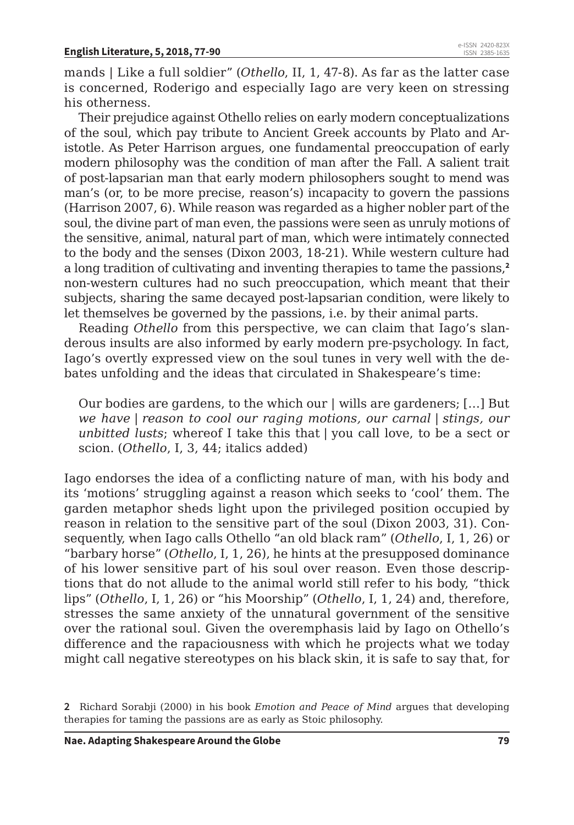mands | Like a full soldier" (*Othello*, II, 1, 47-8). As far as the latter case is concerned, Roderigo and especially Iago are very keen on stressing his otherness.

Their prejudice against Othello relies on early modern conceptualizations of the soul, which pay tribute to Ancient Greek accounts by Plato and Aristotle. As Peter Harrison argues, one fundamental preoccupation of early modern philosophy was the condition of man after the Fall. A salient trait of post-lapsarian man that early modern philosophers sought to mend was man's (or, to be more precise, reason's) incapacity to govern the passions (Harrison 2007, 6). While reason was regarded as a higher nobler part of the soul, the divine part of man even, the passions were seen as unruly motions of the sensitive, animal, natural part of man, which were intimately connected to the body and the senses (Dixon 2003, 18-21). While western culture had a long tradition of cultivating and inventing therapies to tame the passions,**<sup>2</sup>** non-western cultures had no such preoccupation, which meant that their subjects, sharing the same decayed post-lapsarian condition, were likely to let themselves be governed by the passions, i.e. by their animal parts.

Reading *Othello* from this perspective, we can claim that Iago's slanderous insults are also informed by early modern pre-psychology. In fact, Iago's overtly expressed view on the soul tunes in very well with the debates unfolding and the ideas that circulated in Shakespeare's time:

Our bodies are gardens, to the which our | wills are gardeners; […] But *we have | reason to cool our raging motions, our carnal | stings, our unbitted lusts*; whereof I take this that | you call love, to be a sect or scion. (*Othello*, I, 3, 44; italics added)

Iago endorses the idea of a conflicting nature of man, with his body and its 'motions' struggling against a reason which seeks to 'cool' them. The garden metaphor sheds light upon the privileged position occupied by reason in relation to the sensitive part of the soul (Dixon 2003, 31). Consequently, when Iago calls Othello "an old black ram" (*Othello*, I, 1, 26) or "barbary horse" (*Othello*, I, 1, 26), he hints at the presupposed dominance of his lower sensitive part of his soul over reason. Even those descriptions that do not allude to the animal world still refer to his body, "thick lips" (*Othello*, I, 1, 26) or "his Moorship" (*Othello*, I, 1, 24) and, therefore, stresses the same anxiety of the unnatural government of the sensitive over the rational soul. Given the overemphasis laid by Iago on Othello's difference and the rapaciousness with which he projects what we today might call negative stereotypes on his black skin, it is safe to say that, for

**<sup>2</sup>** Richard Sorabji (2000) in his book *Emotion and Peace of Mind* argues that developing therapies for taming the passions are as early as Stoic philosophy.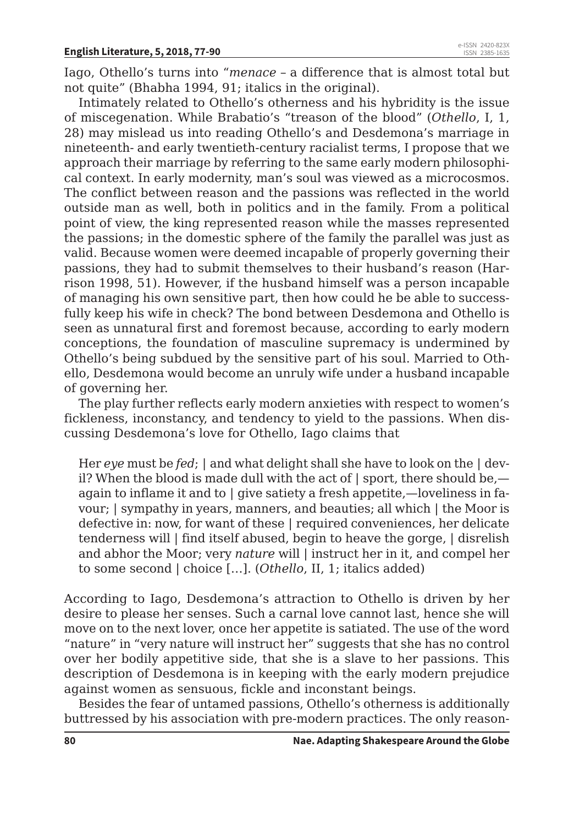Iago, Othello's turns into "*menace* – a difference that is almost total but not quite" (Bhabha 1994, 91; italics in the original).

Intimately related to Othello's otherness and his hybridity is the issue of miscegenation. While Brabatio's "treason of the blood" (*Othello*, I, 1, 28) may mislead us into reading Othello's and Desdemona's marriage in nineteenth- and early twentieth-century racialist terms, I propose that we approach their marriage by referring to the same early modern philosophical context. In early modernity, man's soul was viewed as a microcosmos. The conflict between reason and the passions was reflected in the world outside man as well, both in politics and in the family. From a political point of view, the king represented reason while the masses represented the passions; in the domestic sphere of the family the parallel was just as valid. Because women were deemed incapable of properly governing their passions, they had to submit themselves to their husband's reason (Harrison 1998, 51). However, if the husband himself was a person incapable of managing his own sensitive part, then how could he be able to successfully keep his wife in check? The bond between Desdemona and Othello is seen as unnatural first and foremost because, according to early modern conceptions, the foundation of masculine supremacy is undermined by Othello's being subdued by the sensitive part of his soul. Married to Othello, Desdemona would become an unruly wife under a husband incapable of governing her.

The play further reflects early modern anxieties with respect to women's fickleness, inconstancy, and tendency to yield to the passions. When discussing Desdemona's love for Othello, Iago claims that

Her *eye* must be *fed*; | and what delight shall she have to look on the | devil? When the blood is made dull with the act of | sport, there should be, again to inflame it and to | give satiety a fresh appetite,—loveliness in favour; | sympathy in years, manners, and beauties; all which | the Moor is defective in: now, for want of these | required conveniences, her delicate tenderness will | find itself abused, begin to heave the gorge, | disrelish and abhor the Moor; very *nature* will | instruct her in it, and compel her to some second | choice […]. (*Othello*, II, 1; italics added)

According to Iago, Desdemona's attraction to Othello is driven by her desire to please her senses. Such a carnal love cannot last, hence she will move on to the next lover, once her appetite is satiated. The use of the word "nature" in "very nature will instruct her" suggests that she has no control over her bodily appetitive side, that she is a slave to her passions. This description of Desdemona is in keeping with the early modern prejudice against women as sensuous, fickle and inconstant beings.

Besides the fear of untamed passions, Othello's otherness is additionally buttressed by his association with pre-modern practices. The only reason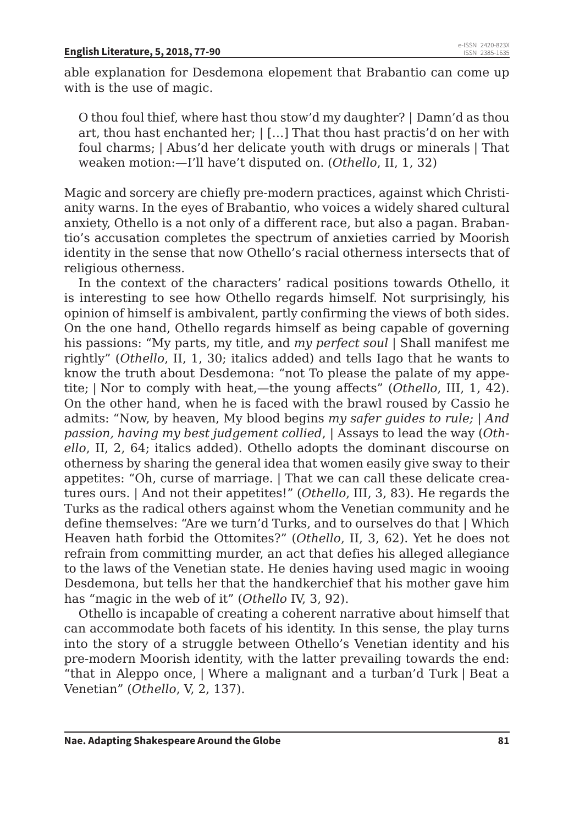able explanation for Desdemona elopement that Brabantio can come up with is the use of magic.

O thou foul thief, where hast thou stow'd my daughter? | Damn'd as thou art, thou hast enchanted her; | […] That thou hast practis'd on her with foul charms; | Abus'd her delicate youth with drugs or minerals | That weaken motion:—I'll have't disputed on. (*Othello*, II, 1, 32)

Magic and sorcery are chiefly pre-modern practices, against which Christianity warns. In the eyes of Brabantio, who voices a widely shared cultural anxiety, Othello is a not only of a different race, but also a pagan. Brabantio's accusation completes the spectrum of anxieties carried by Moorish identity in the sense that now Othello's racial otherness intersects that of religious otherness.

In the context of the characters' radical positions towards Othello, it is interesting to see how Othello regards himself. Not surprisingly, his opinion of himself is ambivalent, partly confirming the views of both sides. On the one hand, Othello regards himself as being capable of governing his passions: "My parts, my title, and *my perfect soul* | Shall manifest me rightly" (*Othello*, II, 1, 30; italics added) and tells Iago that he wants to know the truth about Desdemona: "not To please the palate of my appetite; | Nor to comply with heat,—the young affects" (*Othello*, III, 1, 42). On the other hand, when he is faced with the brawl roused by Cassio he admits: "Now, by heaven, My blood begins *my safer guides to rule;* | *And passion, having my best judgement collied*, | Assays to lead the way (*Othello*, II, 2, 64; italics added). Othello adopts the dominant discourse on otherness by sharing the general idea that women easily give sway to their appetites: "Oh, curse of marriage. | That we can call these delicate creatures ours. | And not their appetites!" (*Othello*, III, 3, 83). He regards the Turks as the radical others against whom the Venetian community and he define themselves: "Are we turn'd Turks, and to ourselves do that | Which Heaven hath forbid the Ottomites?" (*Othello*, II, 3, 62). Yet he does not refrain from committing murder, an act that defies his alleged allegiance to the laws of the Venetian state. He denies having used magic in wooing Desdemona, but tells her that the handkerchief that his mother gave him has "magic in the web of it" (*Othello* IV, 3, 92).

Othello is incapable of creating a coherent narrative about himself that can accommodate both facets of his identity. In this sense, the play turns into the story of a struggle between Othello's Venetian identity and his pre-modern Moorish identity, with the latter prevailing towards the end: "that in Aleppo once, | Where a malignant and a turban'd Turk | Beat a Venetian" (*Othello*, V, 2, 137).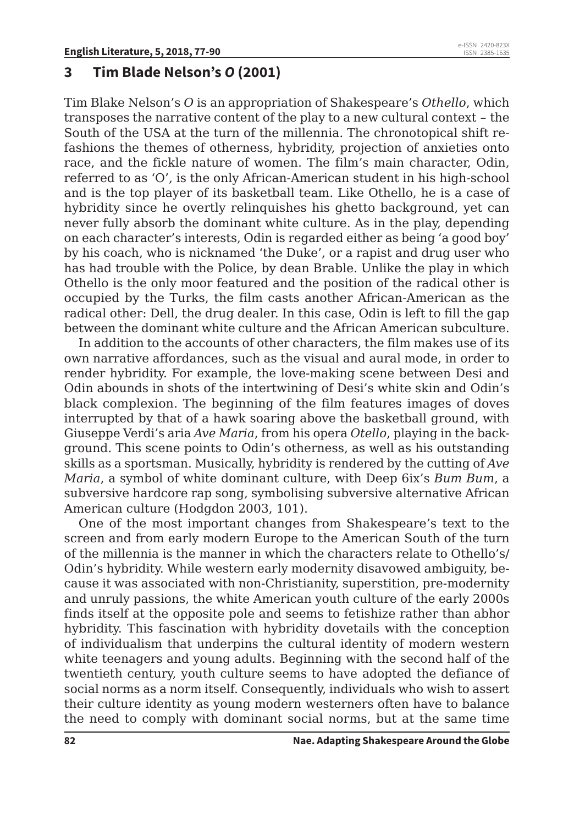#### **3 Tim Blade Nelson's** *O* **(2001)**

Tim Blake Nelson's *O* is an appropriation of Shakespeare's *Othello*, which transposes the narrative content of the play to a new cultural context – the South of the USA at the turn of the millennia. The chronotopical shift refashions the themes of otherness, hybridity, projection of anxieties onto race, and the fickle nature of women. The film's main character, Odin, referred to as 'O', is the only African-American student in his high-school and is the top player of its basketball team. Like Othello, he is a case of hybridity since he overtly relinquishes his ghetto background, yet can never fully absorb the dominant white culture. As in the play, depending on each character's interests, Odin is regarded either as being 'a good boy' by his coach, who is nicknamed 'the Duke', or a rapist and drug user who has had trouble with the Police, by dean Brable. Unlike the play in which Othello is the only moor featured and the position of the radical other is occupied by the Turks, the film casts another African-American as the radical other: Dell, the drug dealer. In this case, Odin is left to fill the gap between the dominant white culture and the African American subculture.

In addition to the accounts of other characters, the film makes use of its own narrative affordances, such as the visual and aural mode, in order to render hybridity. For example, the love-making scene between Desi and Odin abounds in shots of the intertwining of Desi's white skin and Odin's black complexion. The beginning of the film features images of doves interrupted by that of a hawk soaring above the basketball ground, with Giuseppe Verdi's aria *Ave Maria*, from his opera *Otello*, playing in the background. This scene points to Odin's otherness, as well as his outstanding skills as a sportsman. Musically, hybridity is rendered by the cutting of *Ave Maria*, a symbol of white dominant culture, with Deep 6ix's *Bum Bum*, a subversive hardcore rap song, symbolising subversive alternative African American culture (Hodgdon 2003, 101).

One of the most important changes from Shakespeare's text to the screen and from early modern Europe to the American South of the turn of the millennia is the manner in which the characters relate to Othello's/ Odin's hybridity. While western early modernity disavowed ambiguity, because it was associated with non-Christianity, superstition, pre-modernity and unruly passions, the white American youth culture of the early 2000s finds itself at the opposite pole and seems to fetishize rather than abhor hybridity. This fascination with hybridity dovetails with the conception of individualism that underpins the cultural identity of modern western white teenagers and young adults. Beginning with the second half of the twentieth century, youth culture seems to have adopted the defiance of social norms as a norm itself. Consequently, individuals who wish to assert their culture identity as young modern westerners often have to balance the need to comply with dominant social norms, but at the same time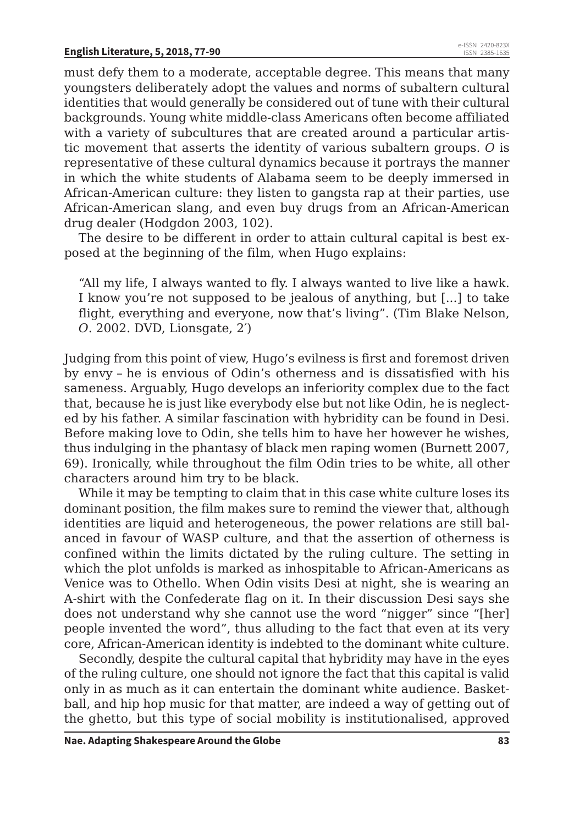must defy them to a moderate, acceptable degree. This means that many youngsters deliberately adopt the values and norms of subaltern cultural identities that would generally be considered out of tune with their cultural backgrounds. Young white middle-class Americans often become affiliated with a variety of subcultures that are created around a particular artistic movement that asserts the identity of various subaltern groups. *O* is representative of these cultural dynamics because it portrays the manner in which the white students of Alabama seem to be deeply immersed in African-American culture: they listen to gangsta rap at their parties, use African-American slang, and even buy drugs from an African-American drug dealer (Hodgdon 2003, 102).

The desire to be different in order to attain cultural capital is best exposed at the beginning of the film, when Hugo explains:

"All my life, I always wanted to fly. I always wanted to live like a hawk. I know you're not supposed to be jealous of anything, but [...] to take flight, everything and everyone, now that's living". (Tim Blake Nelson, *O*. 2002. DVD, Lionsgate, 2′)

Judging from this point of view, Hugo's evilness is first and foremost driven by envy – he is envious of Odin's otherness and is dissatisfied with his sameness. Arguably, Hugo develops an inferiority complex due to the fact that, because he is just like everybody else but not like Odin, he is neglected by his father. A similar fascination with hybridity can be found in Desi. Before making love to Odin, she tells him to have her however he wishes, thus indulging in the phantasy of black men raping women (Burnett 2007, 69). Ironically, while throughout the film Odin tries to be white, all other characters around him try to be black.

While it may be tempting to claim that in this case white culture loses its dominant position, the film makes sure to remind the viewer that, although identities are liquid and heterogeneous, the power relations are still balanced in favour of WASP culture, and that the assertion of otherness is confined within the limits dictated by the ruling culture. The setting in which the plot unfolds is marked as inhospitable to African-Americans as Venice was to Othello. When Odin visits Desi at night, she is wearing an A-shirt with the Confederate flag on it. In their discussion Desi says she does not understand why she cannot use the word "nigger" since "[her] people invented the word", thus alluding to the fact that even at its very core, African-American identity is indebted to the dominant white culture.

Secondly, despite the cultural capital that hybridity may have in the eyes of the ruling culture, one should not ignore the fact that this capital is valid only in as much as it can entertain the dominant white audience. Basketball, and hip hop music for that matter, are indeed a way of getting out of the ghetto, but this type of social mobility is institutionalised, approved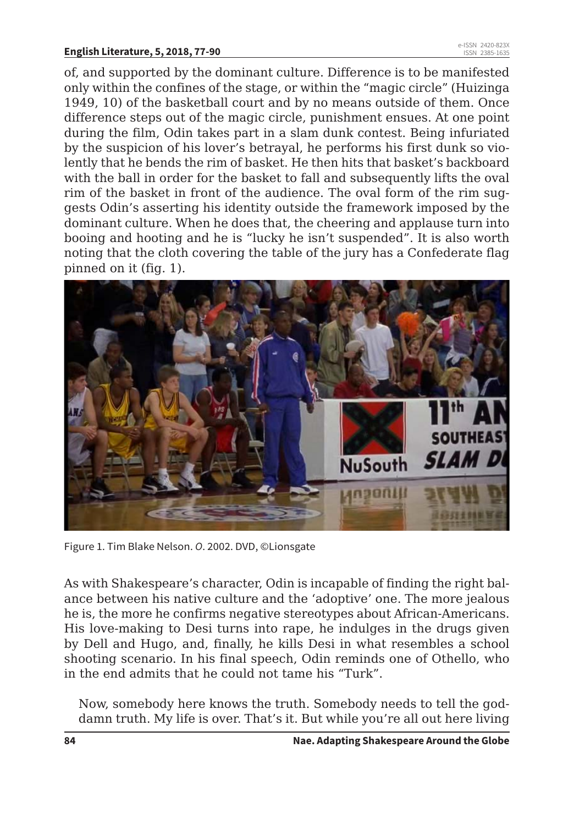### **English Literature, 5, 2018, 77-90** e-ISSN 2420-823X

of, and supported by the dominant culture. Difference is to be manifested only within the confines of the stage, or within the "magic circle" (Huizinga 1949, 10) of the basketball court and by no means outside of them. Once difference steps out of the magic circle, punishment ensues. At one point during the film, Odin takes part in a slam dunk contest. Being infuriated by the suspicion of his lover's betrayal, he performs his first dunk so violently that he bends the rim of basket. He then hits that basket's backboard with the ball in order for the basket to fall and subsequently lifts the oval rim of the basket in front of the audience. The oval form of the rim suggests Odin's asserting his identity outside the framework imposed by the dominant culture. When he does that, the cheering and applause turn into booing and hooting and he is "lucky he isn't suspended". It is also worth noting that the cloth covering the table of the jury has a Confederate flag pinned on it (fig. 1).



Figure 1. Tim Blake Nelson. *O*. 2002. DVD, ©Lionsgate

As with Shakespeare's character, Odin is incapable of finding the right balance between his native culture and the 'adoptive' one. The more jealous he is, the more he confirms negative stereotypes about African-Americans. His love-making to Desi turns into rape, he indulges in the drugs given by Dell and Hugo, and, finally, he kills Desi in what resembles a school shooting scenario. In his final speech, Odin reminds one of Othello, who in the end admits that he could not tame his "Turk".

Now, somebody here knows the truth. Somebody needs to tell the goddamn truth. My life is over. That's it. But while you're all out here living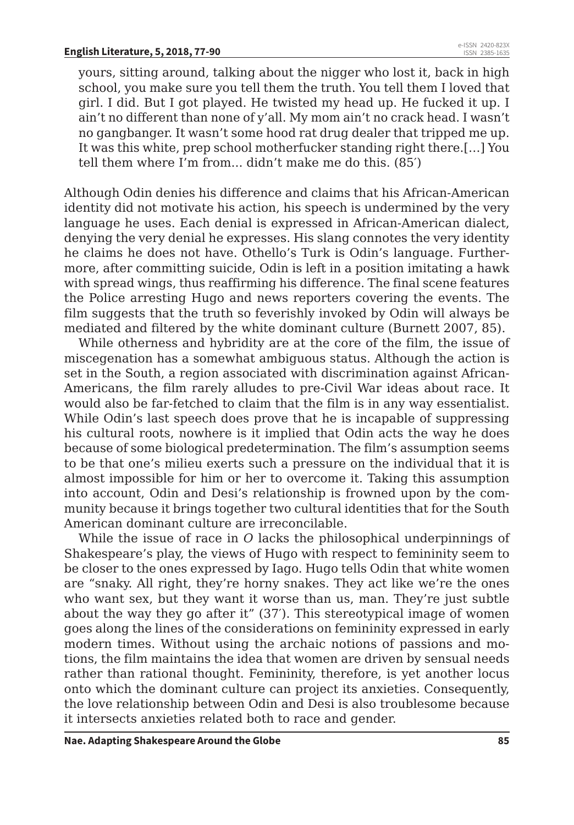yours, sitting around, talking about the nigger who lost it, back in high school, you make sure you tell them the truth. You tell them I loved that girl. I did. But I got played. He twisted my head up. He fucked it up. I ain't no different than none of y'all. My mom ain't no crack head. I wasn't no gangbanger. It wasn't some hood rat drug dealer that tripped me up. It was this white, prep school motherfucker standing right there.[…] You tell them where I'm from... didn't make me do this. (85′)

Although Odin denies his difference and claims that his African-American identity did not motivate his action, his speech is undermined by the very language he uses. Each denial is expressed in African-American dialect, denying the very denial he expresses. His slang connotes the very identity he claims he does not have. Othello's Turk is Odin's language. Furthermore, after committing suicide, Odin is left in a position imitating a hawk with spread wings, thus reaffirming his difference. The final scene features the Police arresting Hugo and news reporters covering the events. The film suggests that the truth so feverishly invoked by Odin will always be mediated and filtered by the white dominant culture (Burnett 2007, 85).

While otherness and hybridity are at the core of the film, the issue of miscegenation has a somewhat ambiguous status. Although the action is set in the South, a region associated with discrimination against African-Americans, the film rarely alludes to pre-Civil War ideas about race. It would also be far-fetched to claim that the film is in any way essentialist. While Odin's last speech does prove that he is incapable of suppressing his cultural roots, nowhere is it implied that Odin acts the way he does because of some biological predetermination. The film's assumption seems to be that one's milieu exerts such a pressure on the individual that it is almost impossible for him or her to overcome it. Taking this assumption into account, Odin and Desi's relationship is frowned upon by the community because it brings together two cultural identities that for the South American dominant culture are irreconcilable.

While the issue of race in *O* lacks the philosophical underpinnings of Shakespeare's play, the views of Hugo with respect to femininity seem to be closer to the ones expressed by Iago. Hugo tells Odin that white women are "snaky. All right, they're horny snakes. They act like we're the ones who want sex, but they want it worse than us, man. They're just subtle about the way they go after it" (37′). This stereotypical image of women goes along the lines of the considerations on femininity expressed in early modern times. Without using the archaic notions of passions and motions, the film maintains the idea that women are driven by sensual needs rather than rational thought. Femininity, therefore, is yet another locus onto which the dominant culture can project its anxieties. Consequently, the love relationship between Odin and Desi is also troublesome because it intersects anxieties related both to race and gender.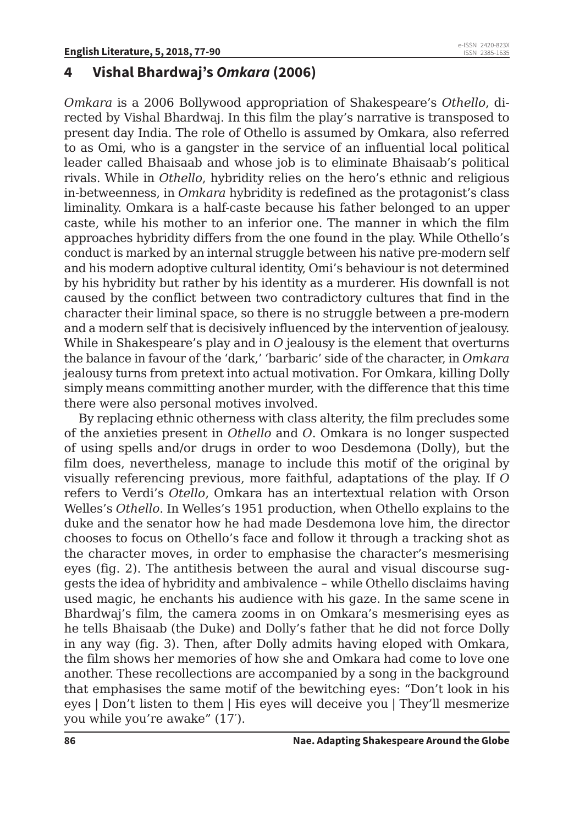#### **4 Vishal Bhardwaj's** *Omkara* **(2006)**

*Omkara* is a 2006 Bollywood appropriation of Shakespeare's *Othello*, directed by Vishal Bhardwaj. In this film the play's narrative is transposed to present day India. The role of Othello is assumed by Omkara, also referred to as Omi, who is a gangster in the service of an influential local political leader called Bhaisaab and whose job is to eliminate Bhaisaab's political rivals. While in *Othello*, hybridity relies on the hero's ethnic and religious in-betweenness, in *Omkara* hybridity is redefined as the protagonist's class liminality. Omkara is a half-caste because his father belonged to an upper caste, while his mother to an inferior one. The manner in which the film approaches hybridity differs from the one found in the play. While Othello's conduct is marked by an internal struggle between his native pre-modern self and his modern adoptive cultural identity, Omi's behaviour is not determined by his hybridity but rather by his identity as a murderer. His downfall is not caused by the conflict between two contradictory cultures that find in the character their liminal space, so there is no struggle between a pre-modern and a modern self that is decisively influenced by the intervention of jealousy. While in Shakespeare's play and in *O* jealousy is the element that overturns the balance in favour of the 'dark,' 'barbaric' side of the character, in *Omkara* jealousy turns from pretext into actual motivation. For Omkara, killing Dolly simply means committing another murder, with the difference that this time there were also personal motives involved.

By replacing ethnic otherness with class alterity, the film precludes some of the anxieties present in *Othello* and *O*. Omkara is no longer suspected of using spells and/or drugs in order to woo Desdemona (Dolly), but the film does, nevertheless, manage to include this motif of the original by visually referencing previous, more faithful, adaptations of the play. If *O* refers to Verdi's *Otello*, Omkara has an intertextual relation with Orson Welles's *Othello*. In Welles's 1951 production, when Othello explains to the duke and the senator how he had made Desdemona love him, the director chooses to focus on Othello's face and follow it through a tracking shot as the character moves, in order to emphasise the character's mesmerising eyes (fig. 2). The antithesis between the aural and visual discourse suggests the idea of hybridity and ambivalence – while Othello disclaims having used magic, he enchants his audience with his gaze. In the same scene in Bhardwaj's film, the camera zooms in on Omkara's mesmerising eyes as he tells Bhaisaab (the Duke) and Dolly's father that he did not force Dolly in any way (fig. 3). Then, after Dolly admits having eloped with Omkara, the film shows her memories of how she and Omkara had come to love one another. These recollections are accompanied by a song in the background that emphasises the same motif of the bewitching eyes: "Don't look in his eyes | Don't listen to them | His eyes will deceive you | They'll mesmerize you while you're awake" (17′).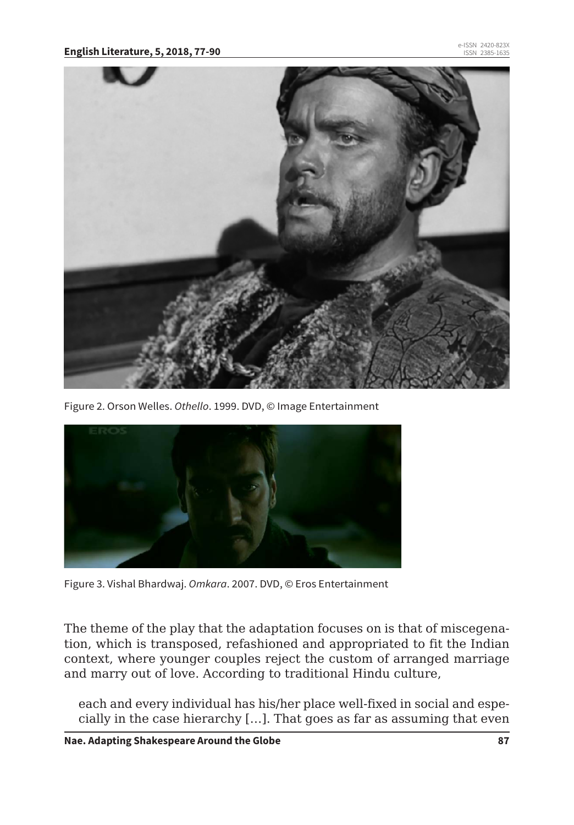

Figure 2. Orson Welles. *Othello*. 1999. DVD, © Image Entertainment



Figure 3. Vishal Bhardwaj. *Omkara*. 2007. DVD, © Eros Entertainment

The theme of the play that the adaptation focuses on is that of miscegenation, which is transposed, refashioned and appropriated to fit the Indian context, where younger couples reject the custom of arranged marriage and marry out of love. According to traditional Hindu culture,

each and every individual has his/her place well-fixed in social and especially in the case hierarchy […]. That goes as far as assuming that even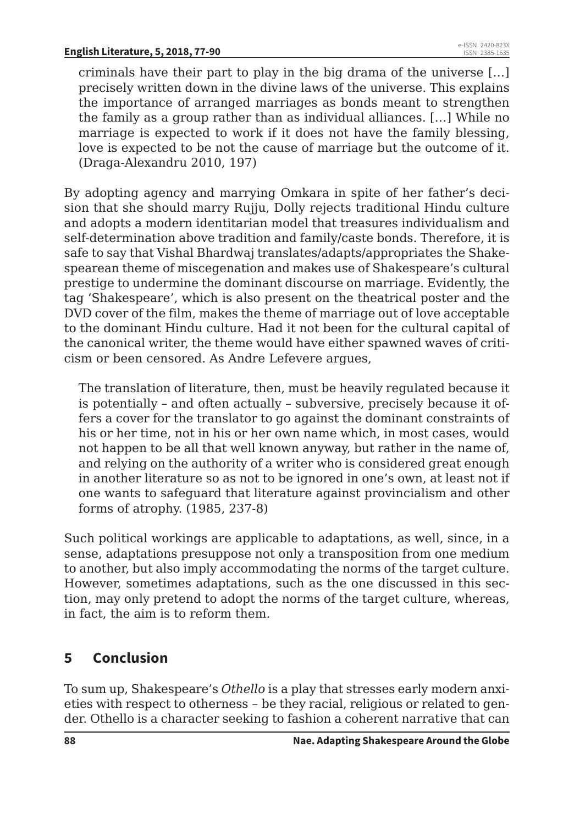criminals have their part to play in the big drama of the universe […] precisely written down in the divine laws of the universe. This explains the importance of arranged marriages as bonds meant to strengthen the family as a group rather than as individual alliances. […] While no marriage is expected to work if it does not have the family blessing, love is expected to be not the cause of marriage but the outcome of it. (Draga-Alexandru 2010, 197)

By adopting agency and marrying Omkara in spite of her father's decision that she should marry Rujju, Dolly rejects traditional Hindu culture and adopts a modern identitarian model that treasures individualism and self-determination above tradition and family/caste bonds. Therefore, it is safe to say that Vishal Bhardwaj translates/adapts/appropriates the Shakespearean theme of miscegenation and makes use of Shakespeare's cultural prestige to undermine the dominant discourse on marriage. Evidently, the tag 'Shakespeare', which is also present on the theatrical poster and the DVD cover of the film, makes the theme of marriage out of love acceptable to the dominant Hindu culture. Had it not been for the cultural capital of the canonical writer, the theme would have either spawned waves of criticism or been censored. As Andre Lefevere argues,

The translation of literature, then, must be heavily regulated because it is potentially – and often actually – subversive, precisely because it offers a cover for the translator to go against the dominant constraints of his or her time, not in his or her own name which, in most cases, would not happen to be all that well known anyway, but rather in the name of, and relying on the authority of a writer who is considered great enough in another literature so as not to be ignored in one's own, at least not if one wants to safeguard that literature against provincialism and other forms of atrophy. (1985, 237-8)

Such political workings are applicable to adaptations, as well, since, in a sense, adaptations presuppose not only a transposition from one medium to another, but also imply accommodating the norms of the target culture. However, sometimes adaptations, such as the one discussed in this section, may only pretend to adopt the norms of the target culture, whereas, in fact, the aim is to reform them.

### **5 Conclusion**

To sum up, Shakespeare's *Othello* is a play that stresses early modern anxieties with respect to otherness – be they racial, religious or related to gender. Othello is a character seeking to fashion a coherent narrative that can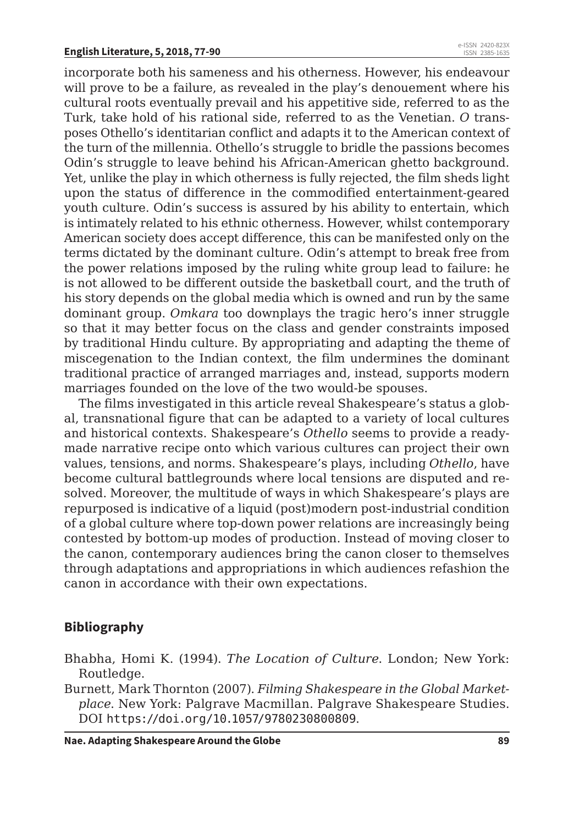incorporate both his sameness and his otherness. However, his endeavour will prove to be a failure, as revealed in the play's denouement where his cultural roots eventually prevail and his appetitive side, referred to as the Turk, take hold of his rational side, referred to as the Venetian. *O* transposes Othello's identitarian conflict and adapts it to the American context of the turn of the millennia. Othello's struggle to bridle the passions becomes Odin's struggle to leave behind his African-American ghetto background. Yet, unlike the play in which otherness is fully rejected, the film sheds light upon the status of difference in the commodified entertainment-geared youth culture. Odin's success is assured by his ability to entertain, which is intimately related to his ethnic otherness. However, whilst contemporary American society does accept difference, this can be manifested only on the terms dictated by the dominant culture. Odin's attempt to break free from the power relations imposed by the ruling white group lead to failure: he is not allowed to be different outside the basketball court, and the truth of his story depends on the global media which is owned and run by the same dominant group. *Omkara* too downplays the tragic hero's inner struggle so that it may better focus on the class and gender constraints imposed by traditional Hindu culture. By appropriating and adapting the theme of miscegenation to the Indian context, the film undermines the dominant traditional practice of arranged marriages and, instead, supports modern marriages founded on the love of the two would-be spouses.

The films investigated in this article reveal Shakespeare's status a global, transnational figure that can be adapted to a variety of local cultures and historical contexts. Shakespeare's *Othello* seems to provide a readymade narrative recipe onto which various cultures can project their own values, tensions, and norms. Shakespeare's plays, including *Othello*, have become cultural battlegrounds where local tensions are disputed and resolved. Moreover, the multitude of ways in which Shakespeare's plays are repurposed is indicative of a liquid (post)modern post-industrial condition of a global culture where top-down power relations are increasingly being contested by bottom-up modes of production. Instead of moving closer to the canon, contemporary audiences bring the canon closer to themselves through adaptations and appropriations in which audiences refashion the canon in accordance with their own expectations.

#### **Bibliography**

- Bhabha, Homi K. (1994). *The Location of Culture*. London; New York: Routledge.
- Burnett, Mark Thornton (2007). *Filming Shakespeare in the Global Marketplace*. New York: Palgrave Macmillan. Palgrave Shakespeare Studies. DOI https://doi.org/10.1057/9780230800809.